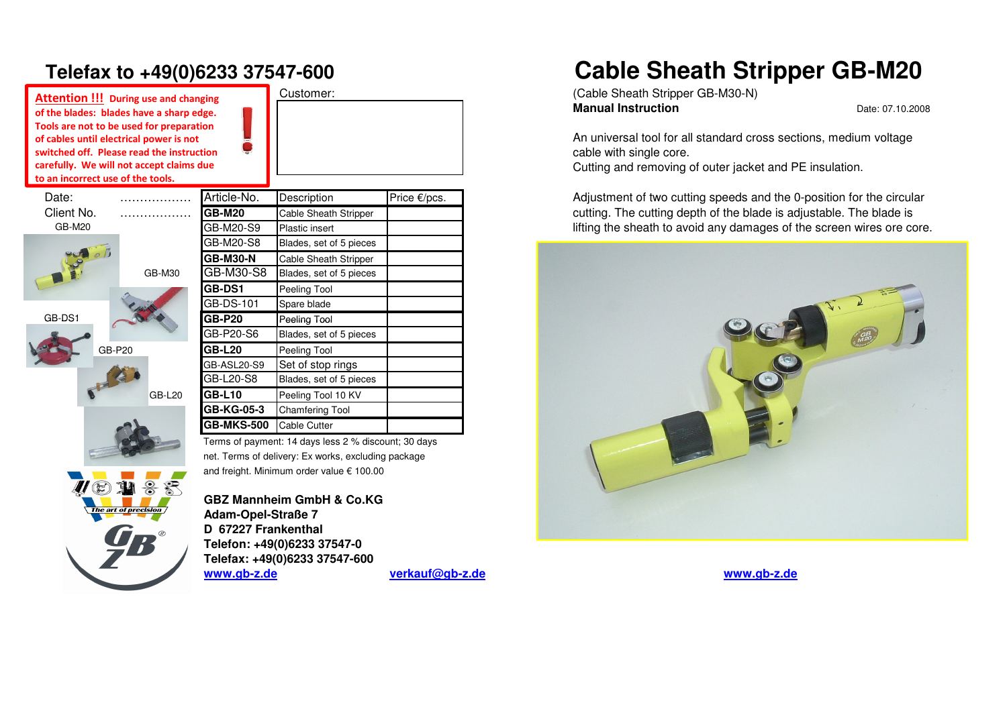## **Telefax to +49(0)6233 37547-600**

**Attention !!! During use and changing of the blades: blades have a sharp edge. Tools are not to be used for preparationof cables until electrical power is not**switched off. Pleas carefully. We will n to an incorrect use of the blades: blades have a sharp edge.<br>Tools are not to be used for preparation<br>of cables until electrical power is not<br>switched off. Please read the instruction<br>carefully. We will not accept claims due<br>to an incorrect u

Date:

GB-DS1

|                                | vitched off. Please read the instruction<br>refully. We will not accept claims due |                 |                              |
|--------------------------------|------------------------------------------------------------------------------------|-----------------|------------------------------|
| an incorrect use of the tools. |                                                                                    |                 |                              |
| Date:                          |                                                                                    | Article-No.     | Description                  |
| Client No.                     |                                                                                    | <b>GB-M20</b>   | <b>Cable Sheath Stripper</b> |
| <b>GB-M20</b>                  |                                                                                    | GB-M20-S9       | Plastic insert               |
|                                |                                                                                    | GB-M20-S8       | Blades, set of 5 pieces      |
|                                |                                                                                    | <b>GB-M30-N</b> | <b>Cable Sheath Stripper</b> |
|                                | GB-M30                                                                             | GB-M30-S8       | Blades, set of 5 pieces      |
|                                |                                                                                    | <b>GB-DS1</b>   | Peeling Tool                 |
|                                |                                                                                    | GB-DS-101       | Spare blade                  |
| GB-DS1                         |                                                                                    | <b>GB-P20</b>   | Peeling Tool                 |
|                                |                                                                                    | GB-P20-S6       | Blades, set of 5 pieces      |
| GB-P20                         |                                                                                    | <b>GB-L20</b>   | Peeling Tool                 |
|                                |                                                                                    | GB-ASL20-S9     | Set of stop rings            |
| J- C                           |                                                                                    | GB-L20-S8       | Blades, set of 5 pieces      |
|                                | <b>GB-L20</b>                                                                      | <b>GB-L10</b>   | Peeling Tool 10 KV           |
|                                |                                                                                    | GB-KG-05-3      | <b>Chamfering Tool</b>       |
|                                |                                                                                    | GB-MKS-500      | Cable Cutter                 |

Terms of payment: 14 days less 2 % discount; 30 daysnet. Terms of delivery: Ex works, excluding packageand freight. Minimum order value € 100.00

Customer:

of precision

**GBZ Mannheim GmbH & Co.KGAdam-Opel-Straße 7 D 67227 Frankenthal Telefon: +49(0)6233 37547-0 Telefax: +49(0)6233 37547-600www.gb-z.de**

## **Cable Sheath Stripper GB-M20**

 (Cable Sheath Stripper GB-M30-N)**Manual Instruction**

Date: 07.10.2008

An universal tool for all standard cross sections, medium voltagecable with single core. Cutting and removing of outer jacket and PE insulation.

Price  $\epsilon$ /pcs. **Description Price Example 20** Adjustment of two cutting speeds and the 0-position for the circular cutting. The cutting depth of the blade is adjustable. The blade is lifting the sheath to avoid any damages of the screen wires ore core.



**verkauf@gb-z.de www.gb-z.de**